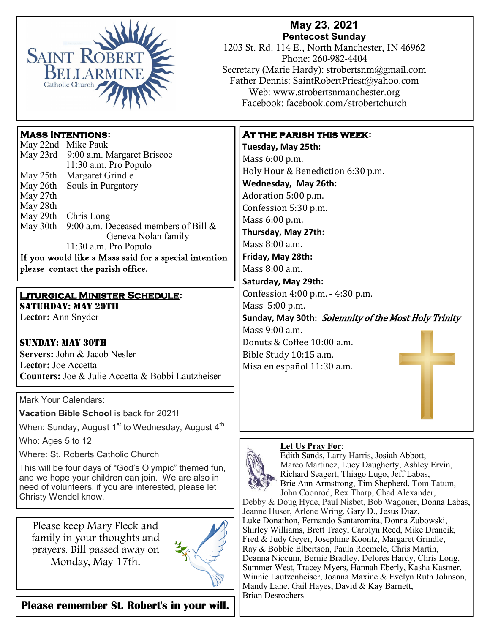

## **May 23, 2021 Pentecost Sunday**

1203 St. Rd. 114 E., North Manchester, IN 46962 Phone: 260-982-4404 Secretary (Marie Hardy): strobertsnm@gmail.com Father Dennis: SaintRobertPriest@yahoo.com Web: www.strobertsnmanchester.org Facebook: facebook.com/strobertchurch

# **Mass Intentions:**

|                                                       | May 22nd Mike Pauk                      |
|-------------------------------------------------------|-----------------------------------------|
|                                                       | May 23rd 9:00 a.m. Margaret Briscoe     |
|                                                       | 11:30 a.m. Pro Populo                   |
| May 25th                                              | Margaret Grindle                        |
| May 26th                                              | Souls in Purgatory                      |
| May 27th                                              |                                         |
| May 28th                                              |                                         |
|                                                       | May 29th Chris Long                     |
| May 30th                                              | 9:00 a.m. Deceased members of Bill $\&$ |
|                                                       | Geneva Nolan family                     |
|                                                       | $11:30$ a.m. Pro Populo                 |
| If you would like a Mass said for a special intention |                                         |
| please contact the parish office.                     |                                         |

### **Liturgical Minister Schedule:**

SATURDAY: MAY 29TH **Lector:** Ann Snyder

#### Sunday: May 30th **Servers:** John & Jacob Nesler **Lector:** Joe Accetta **Counters:** Joe & Julie Accetta & Bobbi Lautzheiser

### Mark Your Calendars:

**Vacation Bible School** is back for 2021!

When: Sunday, August  $1<sup>st</sup>$  to Wednesday, August  $4<sup>th</sup>$ 

Who: Ages 5 to 12

Where: St. Roberts Catholic Church

This will be four days of "God's Olympic" themed fun, and we hope your children can join. We are also in need of volunteers, if you are interested, please let Christy Wendel know.

Please keep Mary Fleck and family in your thoughts and prayers. Bill passed away on Monday, May 17th.



**Please remember St. Robert's in your will.** 

## **At the parish this week:**

**Tuesday, May 25th:**  Mass 6:00 p.m. Holy Hour & Benediction 6:30 p.m. **Wednesday, May 26th:** Adoration 5:00 p.m. Confession 5:30 p.m. Mass 6:00 p.m. **Thursday, May 27th:** Mass 8:00 a.m. **Friday, May 28th:**  Mass 8:00 a.m. **Saturday, May 29th:**  Confession 4:00 p.m. - 4:30 p.m. Mass 5:00 p.m. **Sunday, May 30th:** Solemnity of the Most Holy Trinity Mass 9:00 a.m. Donuts & Coffee 10:00 a.m. Bible Study 10:15 a.m. Misa en español 11:30 a.m.

#### **Let Us Pray For**:



Edith Sands, Larry Harris, Josiah Abbott, Marco Martinez, Lucy Daugherty, Ashley Ervin, Richard Seagert, Thiago Lugo, Jeff Labas, Brie Ann Armstrong, Tim Shepherd, Tom Tatum, John Coonrod, Rex Tharp, Chad Alexander,

Debby & Doug Hyde, Paul Nisbet, Bob Wagoner, Donna Labas, Jeanne Huser, Arlene Wring, Gary D., Jesus Diaz, Luke Donathon, Fernando Santaromita, Donna Zubowski, Shirley Williams, Brett Tracy, Carolyn Reed, Mike Drancik, Fred & Judy Geyer, Josephine Koontz, Margaret Grindle, Ray & Bobbie Elbertson, Paula Roemele, Chris Martin, Deanna Niccum, Bernie Bradley, Delores Hardy, Chris Long, Summer West, Tracey Myers, Hannah Eberly, Kasha Kastner, Winnie Lautzenheiser, Joanna Maxine & Evelyn Ruth Johnson, Mandy Lane, Gail Hayes, David & Kay Barnett, Brian Desrochers